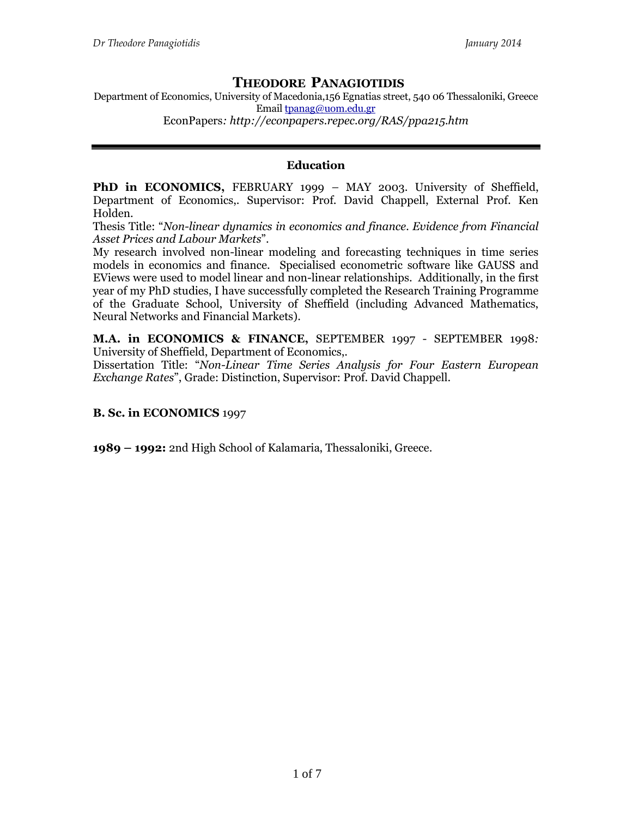# **THEODORE PANAGIOTIDIS**

Department of Economics, University of Macedonia,156 Egnatias street, 540 06 Thessaloniki, Greece Email [tpanag@uom.edu.gr](mailto:tpanag@uom.edu.gr) EconPapers*: http://econpapers.repec.org/RAS/ppa215.htm*

# **Education**

**PhD in ECONOMICS,** FEBRUARY 1999 *–* MAY 2003. University of Sheffield, Department of Economics,. Supervisor: Prof. David Chappell, External Prof. Ken Holden.

Thesis Title: "*Non-linear dynamics in economics and finance. Evidence from Financial Asset Prices and Labour Markets*".

My research involved non-linear modeling and forecasting techniques in time series models in economics and finance. Specialised econometric software like GAUSS and EViews were used to model linear and non-linear relationships. Additionally, in the first year of my PhD studies, I have successfully completed the Research Training Programme of the Graduate School, University of Sheffield (including Advanced Mathematics, Neural Networks and Financial Markets).

**M.A. in ECONOMICS & FINANCE,** SEPTEMBER 1997 - SEPTEMBER 1998*:*  University of Sheffield, Department of Economics,.

Dissertation Title: "*Non-Linear Time Series Analysis for Four Eastern European Exchange Rates*", Grade: Distinction, Supervisor: Prof. David Chappell.

# **B. Sc. in ECONOMICS** 1997

**1989 – 1992:** 2nd High School of Kalamaria, Thessaloniki, Greece.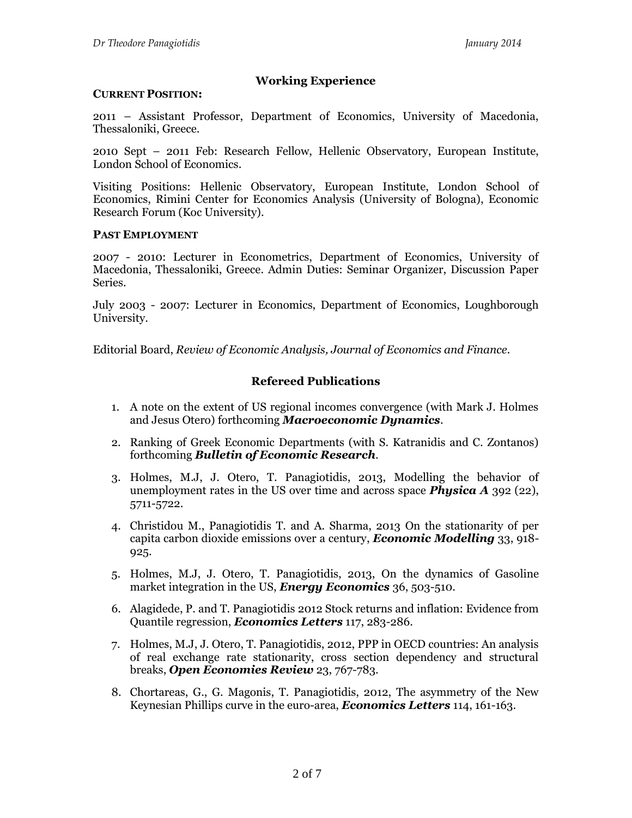# **Working Experience**

# **CURRENT POSITION:**

2011 – Assistant Professor, Department of Economics, University of Macedonia, Thessaloniki, Greece.

2010 Sept – 2011 Feb: Research Fellow, Hellenic Observatory, European Institute, London School of Economics.

Visiting Positions: Hellenic Observatory, European Institute, London School of Economics, Rimini Center for Economics Analysis (University of Bologna), Economic Research Forum (Koc University).

# **PAST EMPLOYMENT**

2007 - 2010: Lecturer in Econometrics, Department of Economics, University of Macedonia, Thessaloniki, Greece. Admin Duties: Seminar Organizer, Discussion Paper Series.

July 2003 - 2007: Lecturer in Economics, Department of Economics, Loughborough University.

Editorial Board, *Review of Economic Analysis, Journal of Economics and Finance.*

# **Refereed Publications**

- 1. A note on the extent of US regional incomes convergence (with Mark J. Holmes and Jesus Otero) forthcoming *Macroeconomic Dynamics*.
- 2. Ranking of Greek Economic Departments (with S. Katranidis and C. Zontanos) forthcoming *Bulletin of Economic Research*.
- 3. Holmes, M.J, J. Otero, T. Panagiotidis, 2013, Modelling the behavior of unemployment rates in the US over time and across space *Physica Α* 392 (22), 5711-5722.
- 4. Christidou M., Panagiotidis T. and A. Sharma, 2013 On the stationarity of per capita carbon dioxide emissions over a century, *Economic Modelling* 33, 918- 925.
- 5. Holmes, M.J, J. Otero, T. Panagiotidis, 2013, On the dynamics of Gasoline market integration in the US, *Energy Economics* 36, 503-510.
- 6. Alagidede, P. and T. Panagiotidis 2012 Stock returns and inflation: Evidence from Quantile regression, *Economics Letters* 117, 283-286.
- 7. Holmes, M.J, J. Otero, T. Panagiotidis, 2012, PPP in OECD countries: An analysis of real exchange rate stationarity, cross section dependency and structural breaks, *Open Economies Review* 23, 767-783.
- 8. Chortareas, G., G. Magonis, T. Panagiotidis, 2012, The asymmetry of the New Keynesian Phillips curve in the euro-area, *Economics Letters* 114, 161-163.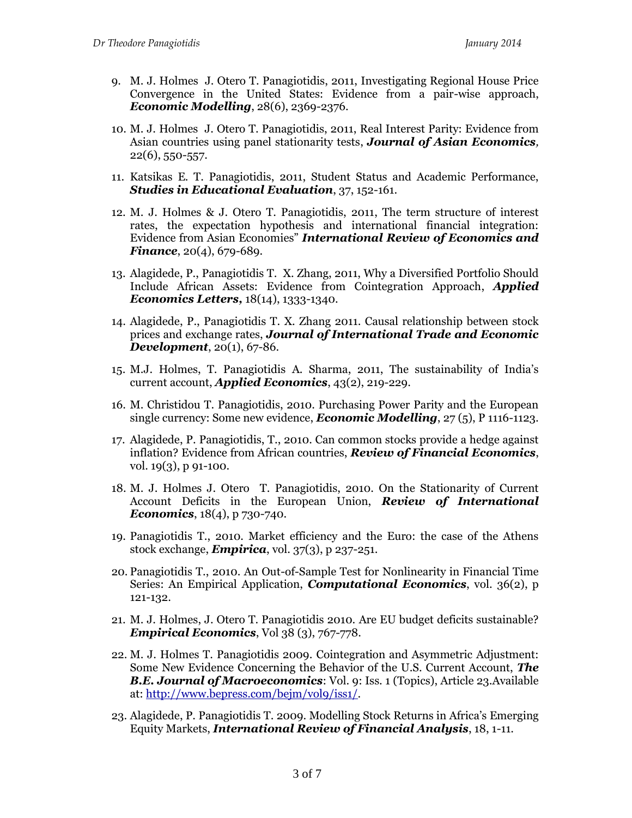- 9. M. J. Holmes J. Otero T. Panagiotidis, 2011, Investigating Regional House Price Convergence in the United States: Evidence from a pair-wise approach, *Economic Modelling*, 28(6), 2369-2376.
- 10. M. J. Holmes J. Otero T. Panagiotidis, 2011, Real Interest Parity: Evidence from Asian countries using panel stationarity tests, *Journal of Asian Economics,*  22(6), 550-557.
- 11. Katsikas E. T. Panagiotidis, 2011, Student Status and Academic Performance, *Studies in Educational Evaluation*, 37, 152-161.
- 12. M. J. Holmes & J. Otero T. Panagiotidis, 2011, The term structure of interest rates, the expectation hypothesis and international financial integration: Evidence from Asian Economies" *International Review of Economics and Finance*, 20(4), 679-689.
- 13. Alagidede, P., Panagiotidis T. X. Zhang, 2011, Why a Diversified Portfolio Should Include African Assets: Evidence from Cointegration Approach, *Applied Economics Letters,* 18(14), 1333-1340.
- 14. Alagidede, P., Panagiotidis T. X. Zhang 2011. Causal relationship between stock prices and exchange rates, *Journal of International Trade and Economic Development*, 20(1), 67-86.
- 15. M.J. Holmes, T. Panagiotidis A. Sharma, 2011, The sustainability of India's current account, *Applied Economics*, 43(2), 219-229.
- 16. M. Christidou T. Panagiotidis, 2010. Purchasing Power Parity and the European single currency: Some new evidence, *Economic Modelling*, 27 (5), P 1116-1123.
- 17. Alagidede, P. Panagiotidis, T., 2010. Can common stocks provide a hedge against inflation? Evidence from African countries, *Review of Financial Economics*, vol. 19(3), p 91-100.
- 18. M. J. Holmes J. Otero T. Panagiotidis, 2010. On the Stationarity of Current Account Deficits in the European Union, *Review of International Economics*, 18(4), p 730-740.
- 19. Panagiotidis T., 2010. Market efficiency and the Euro: the case of the Athens stock exchange, *Empirica*, vol. 37(3), p 237-251.
- 20. Panagiotidis T., 2010. An Out-of-Sample Test for Nonlinearity in Financial Time Series: An Empirical Application, *Computational Economics*, vol. 36(2), p 121-132.
- 21. M. J. Holmes, J. Otero T. Panagiotidis 2010. Are EU budget deficits sustainable? *Empirical Economics*, Vol 38 (3), 767-778.
- 22. M. J. Holmes T. Panagiotidis 2009. Cointegration and Asymmetric Adjustment: Some New Evidence Concerning the Behavior of the U.S. Current Account, *The B.E. Journal of Macroeconomics*: Vol. 9: Iss. 1 (Topics), Article 23.Available at: [http://www.bepress.com/bejm/vol9/iss1/.](http://www.bepress.com/bejm/vol9/iss1/)
- 23. Alagidede, P. Panagiotidis T. 2009. Modelling Stock Returns in Africa's Emerging Equity Markets, *International Review of Financial Analysis*, 18, 1-11.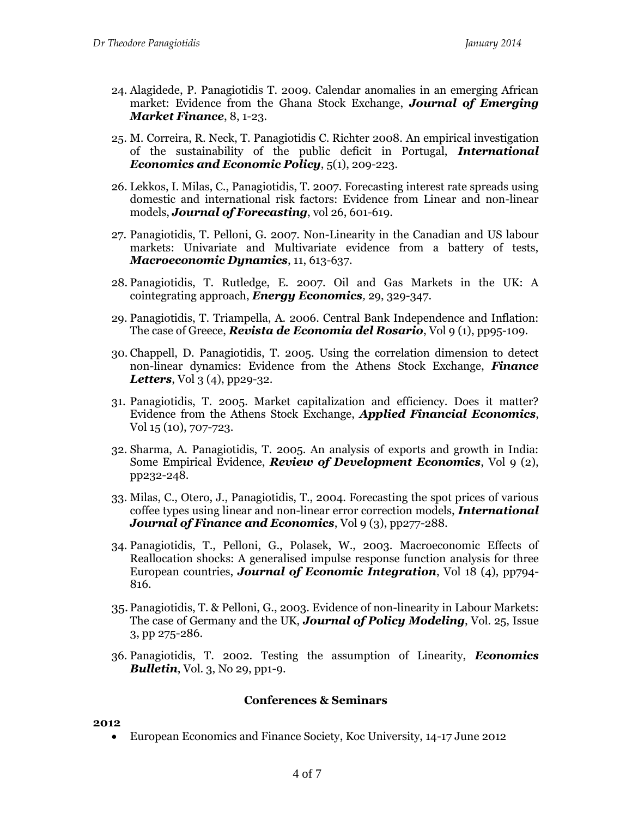- 24. Alagidede, P. Panagiotidis T. 2009. Calendar anomalies in an emerging African market: Evidence from the Ghana Stock Exchange, *Journal of Emerging Market Finance*, 8, 1-23.
- 25. M. Correira, R. Neck, T. Panagiotidis C. Richter 2008. An empirical investigation of the sustainability of the public deficit in Portugal, *International Economics and Economic Policy*, 5(1), 209-223.
- 26. Lekkos, I. Milas, C., Panagiotidis, T. 2007. Forecasting interest rate spreads using domestic and international risk factors: Evidence from Linear and non-linear models, *Journal of Forecasting*, vol 26, 601-619.
- 27. Panagiotidis, T. Pelloni, G. 2007. Non-Linearity in the Canadian and US labour markets: Univariate and Multivariate evidence from a battery of tests, *Macroeconomic Dynamics*, 11, 613-637.
- 28. Panagiotidis, T. Rutledge, E. 2007. Oil and Gas Markets in the UK: A cointegrating approach, *Energy Economics,* 29, 329-347.
- 29. Panagiotidis, T. Triampella, A. 2006. Central Bank Independence and Inflation: The case of Greece, *Revista de Economia del Rosario*, Vol 9 (1), pp95-109.
- 30. Chappell, D. Panagiotidis, T. 2005. Using the correlation dimension to detect non-linear dynamics: Evidence from the Athens Stock Exchange, *Finance Letters*, Vol 3 (4), pp29-32.
- 31. Panagiotidis, T. 2005. Market capitalization and efficiency. Does it matter? Evidence from the Athens Stock Exchange, *Applied Financial Economics*, Vol 15 (10), 707-723.
- 32. Sharma, A. Panagiotidis, T. 2005. An analysis of exports and growth in India: Some Empirical Evidence, *Review of Development Economics*, Vol 9 (2), pp232-248.
- 33. Milas, C., Otero, J., Panagiotidis, T., 2004. Forecasting the spot prices of various coffee types using linear and non-linear error correction models, *International Journal of Finance and Economics*, Vol 9 (3), pp277-288.
- 34. Panagiotidis, T., Pelloni, G., Polasek, W., 2003. Macroeconomic Effects of Reallocation shocks: A generalised impulse response function analysis for three European countries, *Journal of Economic Integration*, Vol 18 (4), pp794- 816.
- 35. Panagiotidis, T. & Pelloni, G., 2003. Evidence of non-linearity in Labour Markets: The case of Germany and the UK, *Journal of Policy Modeling*, Vol. 25, Issue 3, pp 275-286.
- 36. Panagiotidis, T. 2002. Testing the assumption of Linearity, *Economics Bulletin*, Vol. 3, No 29, pp1-9.

#### **Conferences & Seminars**

#### **2012**

European Economics and Finance Society, Koc University, 14-17 June 2012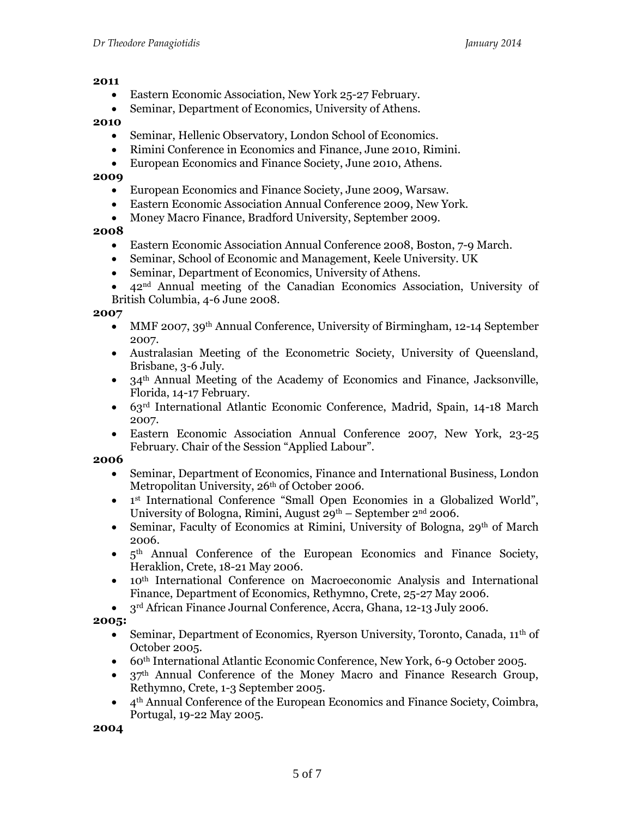#### **2011**

- Eastern Economic Association, New York 25-27 February.
- Seminar, Department of Economics, University of Athens.

### **2010**

- Seminar, Hellenic Observatory, London School of Economics.
- Rimini Conference in Economics and Finance, June 2010, Rimini.
- European Economics and Finance Society, June 2010, Athens.

### **2009**

- European Economics and Finance Society, June 2009, Warsaw.
- Eastern Economic Association Annual Conference 2009, New York.
- Money Macro Finance, Bradford University, September 2009.

# **2008**

- Eastern Economic Association Annual Conference 2008, Boston, 7-9 March.
- Seminar, School of Economic and Management, Keele University. UK
- Seminar, Department of Economics, University of Athens.
- 42nd Annual meeting of the Canadian Economics Association, University of British Columbia, 4-6 June 2008.

### **2007**

- MMF 2007, 39th Annual Conference, University of Birmingham, 12-14 September 2007.
- Australasian Meeting of the Econometric Society, University of Queensland, Brisbane, 3-6 July.
- $\bullet$  34<sup>th</sup> Annual Meeting of the Academy of Economics and Finance, Jacksonville, Florida, 14-17 February.
- 63rd International Atlantic Economic Conference, Madrid, Spain, 14-18 March 2007.
- Eastern Economic Association Annual Conference 2007, New York, 23-25 February. Chair of the Session "Applied Labour".

### **2006**

- Seminar, Department of Economics, Finance and International Business, London Metropolitan University, 26<sup>th</sup> of October 2006.
- 1<sup>st</sup> International Conference "Small Open Economies in a Globalized World", University of Bologna, Rimini, August  $29<sup>th</sup>$  – September  $2<sup>nd</sup>$  2006.
- Seminar, Faculty of Economics at Rimini, University of Bologna,  $29<sup>th</sup>$  of March 2006.
- $5<sup>th</sup>$  Annual Conference of the European Economics and Finance Society, Heraklion, Crete, 18-21 May 2006.
- 10th International Conference on Macroeconomic Analysis and International Finance, Department of Economics, Rethymno, Crete, 25-27 May 2006.
- 3<sup>rd</sup> African Finance Journal Conference, Accra, Ghana, 12-13 July 2006.

**2005:**

- Seminar, Department of Economics, Ryerson University, Toronto, Canada,  $11<sup>th</sup>$  of October 2005.
- 60th International Atlantic Economic Conference, New York, 6-9 October 2005.
- 37th Annual Conference of the Money Macro and Finance Research Group, Rethymno, Crete, 1-3 September 2005.
- 4th Annual Conference of the European Economics and Finance Society, Coimbra, Portugal, 19-22 May 2005.

**2004**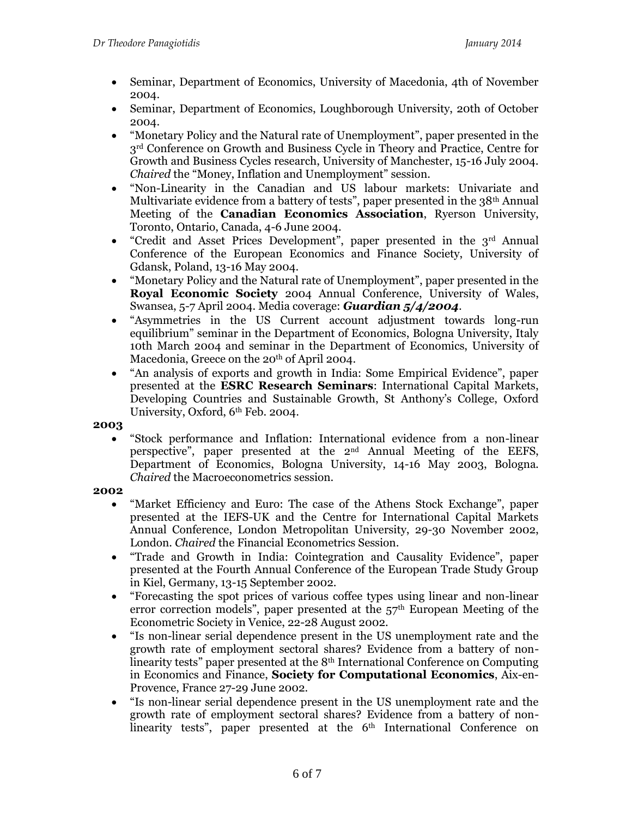- Seminar, Department of Economics, University of Macedonia, 4th of November 2004.
- Seminar, Department of Economics, Loughborough University, 20th of October 2004.
- "Monetary Policy and the Natural rate of Unemployment", paper presented in the 3rd Conference on Growth and Business Cycle in Theory and Practice, Centre for Growth and Business Cycles research, University of Manchester, 15-16 July 2004. *Chaired* the "Money, Inflation and Unemployment" session.
- "Non-Linearity in the Canadian and US labour markets: Univariate and Multivariate evidence from a battery of tests", paper presented in the 38<sup>th</sup> Annual Meeting of the **Canadian Economics Association**, Ryerson University, Toronto, Ontario, Canada, 4-6 June 2004.
- $\bullet$  "Credit and Asset Prices Development", paper presented in the 3<sup>rd</sup> Annual Conference of the European Economics and Finance Society, University of Gdansk, Poland, 13-16 May 2004.
- "Monetary Policy and the Natural rate of Unemployment", paper presented in the **Royal Economic Society** 2004 Annual Conference, University of Wales, Swansea, 5-7 April 2004. Media coverage: *Guardian 5/4/2004*.
- "Asymmetries in the US Current account adjustment towards long-run equilibrium" seminar in the Department of Economics, Bologna University, Italy 10th March 2004 and seminar in the Department of Economics, University of Macedonia, Greece on the 20<sup>th</sup> of April 2004.
- "An analysis of exports and growth in India: Some Empirical Evidence", paper presented at the **ESRC Research Seminars**: International Capital Markets, Developing Countries and Sustainable Growth, St Anthony's College, Oxford University, Oxford, 6th Feb. 2004.

# **2003**

 "Stock performance and Inflation: International evidence from a non-linear perspective", paper presented at the 2nd Annual Meeting of the EEFS, Department of Economics, Bologna University, 14-16 May 2003, Bologna. *Chaired* the Macroeconometrics session.

# **2002**

- "Market Efficiency and Euro: The case of the Athens Stock Exchange", paper presented at the IEFS-UK and the Centre for International Capital Markets Annual Conference, London Metropolitan University, 29-30 November 2002, London. *Chaired* the Financial Econometrics Session.
- "Trade and Growth in India: Cointegration and Causality Evidence", paper presented at the Fourth Annual Conference of the European Trade Study Group in Kiel, Germany, 13-15 September 2002.
- "Forecasting the spot prices of various coffee types using linear and non-linear error correction models", paper presented at the  $57<sup>th</sup>$  European Meeting of the Econometric Society in Venice, 22-28 August 2002.
- "Is non-linear serial dependence present in the US unemployment rate and the growth rate of employment sectoral shares? Evidence from a battery of nonlinearity tests" paper presented at the 8th International Conference on Computing in Economics and Finance, **Society for Computational Economics**, Aix-en-Provence, France 27-29 June 2002.
- "Is non-linear serial dependence present in the US unemployment rate and the growth rate of employment sectoral shares? Evidence from a battery of nonlinearity tests", paper presented at the 6<sup>th</sup> International Conference on